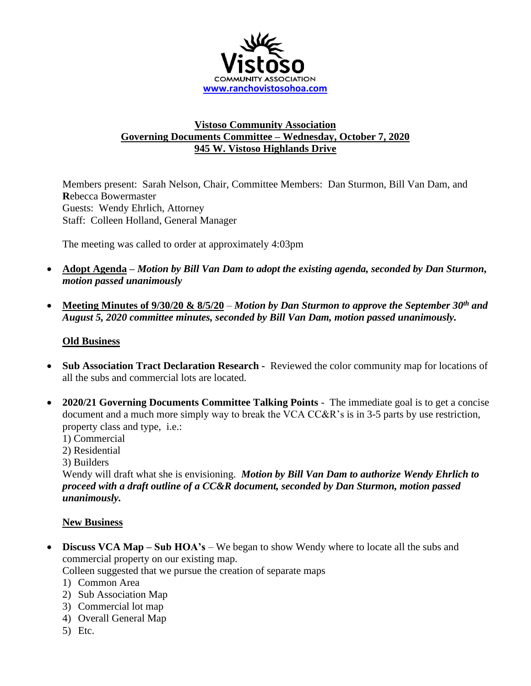

## **Vistoso Community Association Governing Documents Committee – Wednesday, October 7, 2020 945 W. Vistoso Highlands Drive**

Members present: Sarah Nelson, Chair, Committee Members: Dan Sturmon, Bill Van Dam, and **R**ebecca Bowermaster Guests: Wendy Ehrlich, Attorney Staff: Colleen Holland, General Manager

The meeting was called to order at approximately 4:03pm

- **Adopt Agenda –** *Motion by Bill Van Dam to adopt the existing agenda, seconded by Dan Sturmon, motion passed unanimously*
- **Meeting Minutes of 9/30/20 & 8/5/20** *– Motion by Dan Sturmon to approve the September 30th and August 5, 2020 committee minutes, seconded by Bill Van Dam, motion passed unanimously.*

## **Old Business**

- **Sub Association Tract Declaration Research -** Reviewed the color community map for locations of all the subs and commercial lots are located.
- **2020/21 Governing Documents Committee Talking Points** The immediate goal is to get a concise document and a much more simply way to break the VCA CC&R's is in 3-5 parts by use restriction, property class and type, i.e.:
	- 1) Commercial
	- 2) Residential
	- 3) Builders

Wendy will draft what she is envisioning. *Motion by Bill Van Dam to authorize Wendy Ehrlich to proceed with a draft outline of a CC&R document, seconded by Dan Sturmon, motion passed unanimously.* 

## **New Business**

- **Discuss VCA Map Sub HOA's** We began to show Wendy where to locate all the subs and commercial property on our existing map.
	- Colleen suggested that we pursue the creation of separate maps
	- 1) Common Area
	- 2) Sub Association Map
	- 3) Commercial lot map
	- 4) Overall General Map
	- 5) Etc.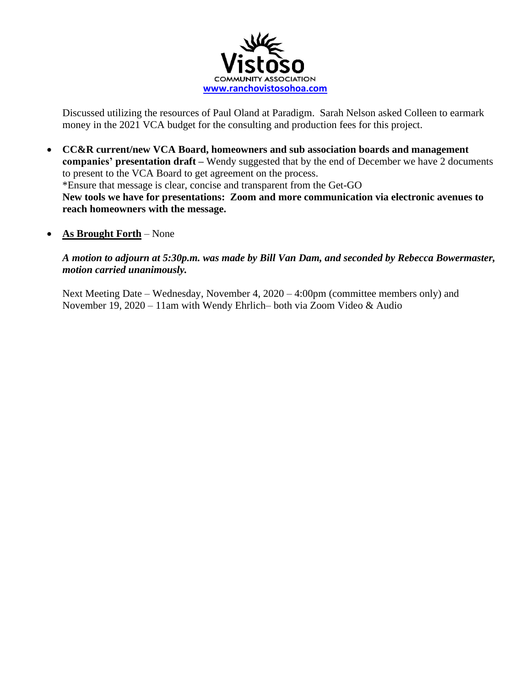

Discussed utilizing the resources of Paul Oland at Paradigm. Sarah Nelson asked Colleen to earmark money in the 2021 VCA budget for the consulting and production fees for this project.

- **CC&R current/new VCA Board, homeowners and sub association boards and management companies' presentation draft –** Wendy suggested that by the end of December we have 2 documents to present to the VCA Board to get agreement on the process. \*Ensure that message is clear, concise and transparent from the Get-GO **New tools we have for presentations: Zoom and more communication via electronic avenues to reach homeowners with the message.**
- **As Brought Forth** None

*A motion to adjourn at 5:30p.m. was made by Bill Van Dam, and seconded by Rebecca Bowermaster, motion carried unanimously.*

Next Meeting Date – Wednesday, November 4, 2020 – 4:00pm (committee members only) and November 19, 2020 – 11am with Wendy Ehrlich– both via Zoom Video & Audio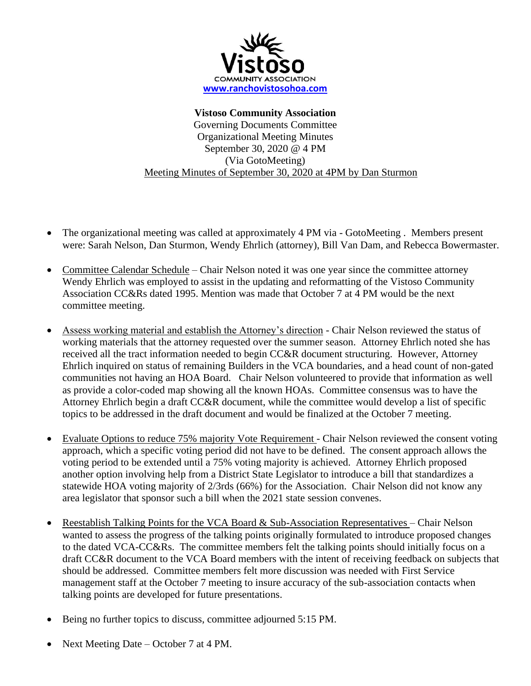

**Vistoso Community Association** Governing Documents Committee Organizational Meeting Minutes September 30, 2020 @ 4 PM (Via GotoMeeting) Meeting Minutes of September 30, 2020 at 4PM by Dan Sturmon

- The organizational meeting was called at approximately 4 PM via GotoMeeting . Members present were: Sarah Nelson, Dan Sturmon, Wendy Ehrlich (attorney), Bill Van Dam, and Rebecca Bowermaster.
- Committee Calendar Schedule Chair Nelson noted it was one year since the committee attorney Wendy Ehrlich was employed to assist in the updating and reformatting of the Vistoso Community Association CC&Rs dated 1995. Mention was made that October 7 at 4 PM would be the next committee meeting.
- Assess working material and establish the Attorney's direction Chair Nelson reviewed the status of working materials that the attorney requested over the summer season. Attorney Ehrlich noted she has received all the tract information needed to begin CC&R document structuring. However, Attorney Ehrlich inquired on status of remaining Builders in the VCA boundaries, and a head count of non-gated communities not having an HOA Board. Chair Nelson volunteered to provide that information as well as provide a color-coded map showing all the known HOAs. Committee consensus was to have the Attorney Ehrlich begin a draft CC&R document, while the committee would develop a list of specific topics to be addressed in the draft document and would be finalized at the October 7 meeting.
- Evaluate Options to reduce 75% majority Vote Requirement Chair Nelson reviewed the consent voting approach, which a specific voting period did not have to be defined. The consent approach allows the voting period to be extended until a 75% voting majority is achieved. Attorney Ehrlich proposed another option involving help from a District State Legislator to introduce a bill that standardizes a statewide HOA voting majority of 2/3rds (66%) for the Association. Chair Nelson did not know any area legislator that sponsor such a bill when the 2021 state session convenes.
- Reestablish Talking Points for the VCA Board & Sub-Association Representatives Chair Nelson wanted to assess the progress of the talking points originally formulated to introduce proposed changes to the dated VCA-CC&Rs. The committee members felt the talking points should initially focus on a draft CC&R document to the VCA Board members with the intent of receiving feedback on subjects that should be addressed. Committee members felt more discussion was needed with First Service management staff at the October 7 meeting to insure accuracy of the sub-association contacts when talking points are developed for future presentations.
- Being no further topics to discuss, committee adjourned 5:15 PM.
- Next Meeting Date October 7 at 4 PM.